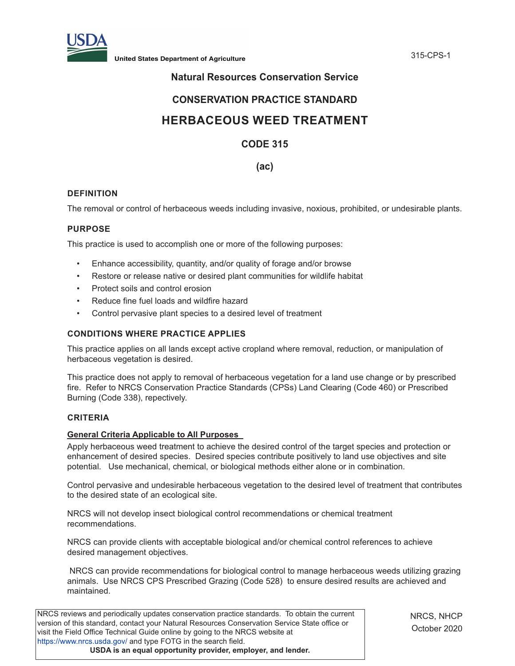

**United States Department of Agriculture** 315-CPS-1

## **Natural Resources Conservation Service**

## **CONSERVATION PRACTICE STANDARD**

# **HERBACEOUS WEED TREATMENT**

## **CODE 315**

## **(ac)**

## **DEFINITION**

The removal or control of herbaceous weeds including invasive, noxious, prohibited, or undesirable plants.

## **PURPOSE**

This practice is used to accomplish one or more of the following purposes:

- Enhance accessibility, quantity, and/or quality of forage and/or browse
- Restore or release native or desired plant communities for wildlife habitat
- Protect soils and control erosion
- Reduce fine fuel loads and wildfire hazard
- Control pervasive plant species to a desired level of treatment

## **CONDITIONS WHERE PRACTICE APPLIES**

This practice applies on all lands except active cropland where removal, reduction, or manipulation of herbaceous vegetation is desired.

This practice does not apply to removal of herbaceous vegetation for a land use change or by prescribed fire. Refer to NRCS Conservation Practice Standards (CPSs) Land Clearing (Code 460) or Prescribed Burning (Code 338), repectively.

## **CRITERIA**

## **General Criteria Applicable to All Purposes**

Apply herbaceous weed treatment to achieve the desired control of the target species and protection or enhancement of desired species. Desired species contribute positively to land use objectives and site potential. Use mechanical, chemical, or biological methods either alone or in combination.

Control pervasive and undesirable herbaceous vegetation to the desired level of treatment that contributes to the desired state of an ecological site.

NRCS will not develop insect biological control recommendations or chemical treatment recommendations.

NRCS can provide clients with acceptable biological and/or chemical control references to achieve desired management objectives.

 NRCS can provide recommendations for biological control to manage herbaceous weeds utilizing grazing animals. Use NRCS CPS Prescribed Grazing (Code 528) to ensure desired results are achieved and maintained.

NRCS reviews and periodically updates conservation practice standards. To obtain the current version of this standard, contact your Natural Resources Conservation Service State office or visit the Field Office Technical Guide online by going to the NRCS website at https://www.nrcs.usda.gov/ and type FOTG in the search field. **USDA is an equal opportunity provider, employer, and lender.**

NRCS, NHCP October 2020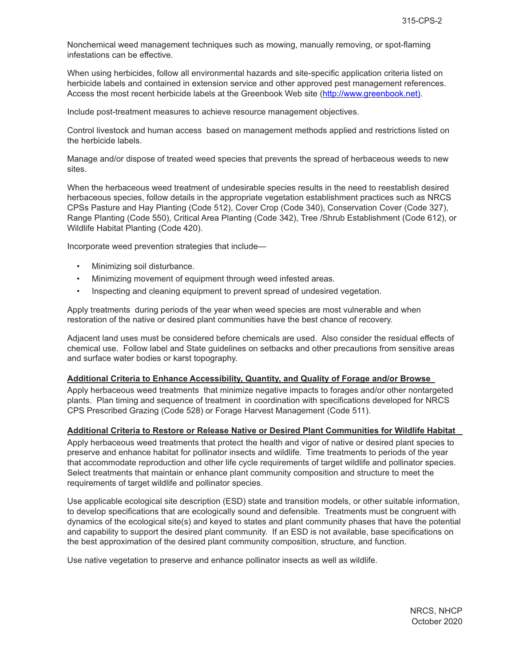Nonchemical weed management techniques such as mowing, manually removing, or spot-flaming infestations can be effective.

When using herbicides, follow all environmental hazards and site-specific application criteria listed on herbicide labels and contained in extension service and other approved pest management references. Access the most recent herbicide labels at the Greenbook Web site (http://www.greenbook.net).

Include post-treatment measures to achieve resource management objectives.

Control livestock and human access based on management methods applied and restrictions listed on the herbicide labels.

Manage and/or dispose of treated weed species that prevents the spread of herbaceous weeds to new sites.

When the herbaceous weed treatment of undesirable species results in the need to reestablish desired herbaceous species, follow details in the appropriate vegetation establishment practices such as NRCS CPSs Pasture and Hay Planting (Code 512), Cover Crop (Code 340), Conservation Cover (Code 327), Range Planting (Code 550), Critical Area Planting (Code 342), Tree /Shrub Establishment (Code 612), or Wildlife Habitat Planting (Code 420).

Incorporate weed prevention strategies that include—

- Minimizing soil disturbance.
- Minimizing movement of equipment through weed infested areas.
- Inspecting and cleaning equipment to prevent spread of undesired vegetation.

Apply treatments during periods of the year when weed species are most vulnerable and when restoration of the native or desired plant communities have the best chance of recovery.

Adjacent land uses must be considered before chemicals are used. Also consider the residual effects of chemical use. Follow label and State guidelines on setbacks and other precautions from sensitive areas and surface water bodies or karst topography.

#### **Additional Criteria to Enhance Accessibility, Quantity, and Quality of Forage and/or Browse**

Apply herbaceous weed treatments that minimize negative impacts to forages and/or other nontargeted plants. Plan timing and sequence of treatment in coordination with specifications developed for NRCS CPS Prescribed Grazing (Code 528) or Forage Harvest Management (Code 511).

#### **Additional Criteria to Restore or Release Native or Desired Plant Communities for Wildlife Habitat**

Apply herbaceous weed treatments that protect the health and vigor of native or desired plant species to preserve and enhance habitat for pollinator insects and wildlife. Time treatments to periods of the year that accommodate reproduction and other life cycle requirements of target wildlife and pollinator species. Select treatments that maintain or enhance plant community composition and structure to meet the requirements of target wildlife and pollinator species.

Use applicable ecological site description (ESD) state and transition models, or other suitable information, to develop specifications that are ecologically sound and defensible. Treatments must be congruent with dynamics of the ecological site(s) and keyed to states and plant community phases that have the potential and capability to support the desired plant community. If an ESD is not available, base specifications on the best approximation of the desired plant community composition, structure, and function.

Use native vegetation to preserve and enhance pollinator insects as well as wildlife.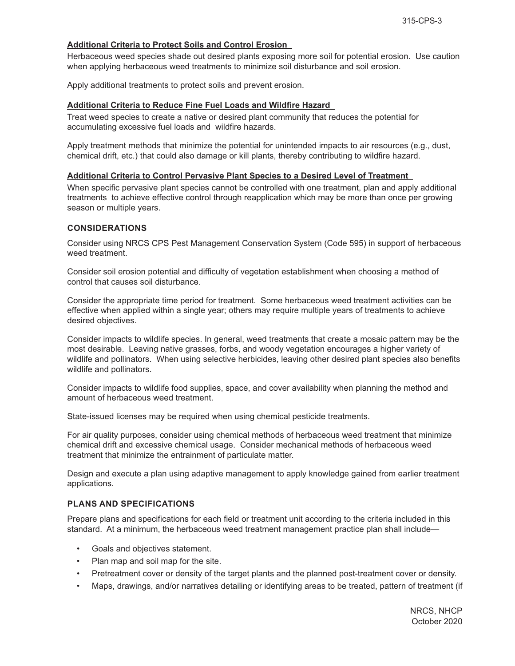## **Additional Criteria to Protect Soils and Control Erosion**

Herbaceous weed species shade out desired plants exposing more soil for potential erosion. Use caution when applying herbaceous weed treatments to minimize soil disturbance and soil erosion.

Apply additional treatments to protect soils and prevent erosion.

#### **Additional Criteria to Reduce Fine Fuel Loads and Wildfire Hazard**

Treat weed species to create a native or desired plant community that reduces the potential for accumulating excessive fuel loads and wildfire hazards.

Apply treatment methods that minimize the potential for unintended impacts to air resources (e.g., dust, chemical drift, etc.) that could also damage or kill plants, thereby contributing to wildfire hazard.

#### **Additional Criteria to Control Pervasive Plant Species to a Desired Level of Treatment**

When specific pervasive plant species cannot be controlled with one treatment, plan and apply additional treatments to achieve effective control through reapplication which may be more than once per growing season or multiple years.

#### **CONSIDERATIONS**

Consider using NRCS CPS Pest Management Conservation System (Code 595) in support of herbaceous weed treatment.

Consider soil erosion potential and difficulty of vegetation establishment when choosing a method of control that causes soil disturbance.

Consider the appropriate time period for treatment. Some herbaceous weed treatment activities can be effective when applied within a single year; others may require multiple years of treatments to achieve desired objectives.

Consider impacts to wildlife species. In general, weed treatments that create a mosaic pattern may be the most desirable. Leaving native grasses, forbs, and woody vegetation encourages a higher variety of wildlife and pollinators. When using selective herbicides, leaving other desired plant species also benefits wildlife and pollinators.

Consider impacts to wildlife food supplies, space, and cover availability when planning the method and amount of herbaceous weed treatment.

State-issued licenses may be required when using chemical pesticide treatments.

For air quality purposes, consider using chemical methods of herbaceous weed treatment that minimize chemical drift and excessive chemical usage. Consider mechanical methods of herbaceous weed treatment that minimize the entrainment of particulate matter.

Design and execute a plan using adaptive management to apply knowledge gained from earlier treatment applications.

#### **PLANS AND SPECIFICATIONS**

Prepare plans and specifications for each field or treatment unit according to the criteria included in this standard. At a minimum, the herbaceous weed treatment management practice plan shall include—

- Goals and objectives statement.
- Plan map and soil map for the site.
- Pretreatment cover or density of the target plants and the planned post-treatment cover or density.
- Maps, drawings, and/or narratives detailing or identifying areas to be treated, pattern of treatment (if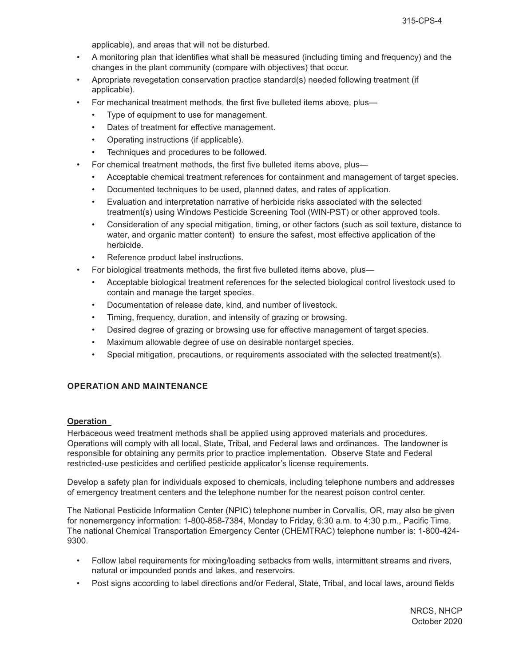applicable), and areas that will not be disturbed.

- A monitoring plan that identifies what shall be measured (including timing and frequency) and the changes in the plant community (compare with objectives) that occur.
- Apropriate revegetation conservation practice standard(s) needed following treatment (if applicable).
- For mechanical treatment methods, the first five bulleted items above, plus—
	- Type of equipment to use for management.
	- Dates of treatment for effective management.
	- Operating instructions (if applicable).
	- Techniques and procedures to be followed.
	- For chemical treatment methods, the first five bulleted items above, plus—
		- Acceptable chemical treatment references for containment and management of target species.
		- Documented techniques to be used, planned dates, and rates of application.
		- Evaluation and interpretation narrative of herbicide risks associated with the selected treatment(s) using Windows Pesticide Screening Tool (WIN-PST) or other approved tools.
		- Consideration of any special mitigation, timing, or other factors (such as soil texture, distance to water, and organic matter content) to ensure the safest, most effective application of the herbicide.
		- Reference product label instructions.
- For biological treatments methods, the first five bulleted items above, plus—
	- Acceptable biological treatment references for the selected biological control livestock used to contain and manage the target species.
	- Documentation of release date, kind, and number of livestock.
	- Timing, frequency, duration, and intensity of grazing or browsing.
	- Desired degree of grazing or browsing use for effective management of target species.
	- Maximum allowable degree of use on desirable nontarget species.
	- Special mitigation, precautions, or requirements associated with the selected treatment(s).

## **OPERATION AND MAINTENANCE**

#### **Operation**

Herbaceous weed treatment methods shall be applied using approved materials and procedures. Operations will comply with all local, State, Tribal, and Federal laws and ordinances. The landowner is responsible for obtaining any permits prior to practice implementation. Observe State and Federal restricted-use pesticides and certified pesticide applicator's license requirements.

Develop a safety plan for individuals exposed to chemicals, including telephone numbers and addresses of emergency treatment centers and the telephone number for the nearest poison control center.

The National Pesticide Information Center (NPIC) telephone number in Corvallis, OR, may also be given for nonemergency information: 1-800-858-7384, Monday to Friday, 6:30 a.m. to 4:30 p.m., Pacific Time. The national Chemical Transportation Emergency Center (CHEMTRAC) telephone number is: 1-800-424- 9300.

- Follow label requirements for mixing/loading setbacks from wells, intermittent streams and rivers, natural or impounded ponds and lakes, and reservoirs.
- Post signs according to label directions and/or Federal, State, Tribal, and local laws, around fields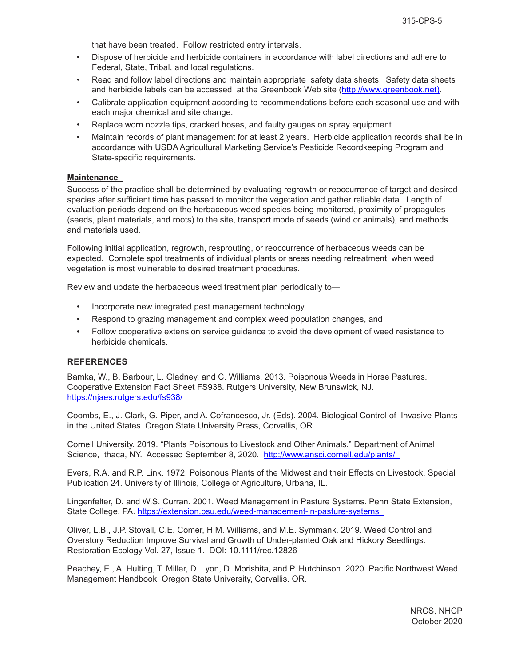that have been treated. Follow restricted entry intervals.

- Dispose of herbicide and herbicide containers in accordance with label directions and adhere to Federal, State, Tribal, and local regulations.
- Read and follow label directions and maintain appropriate safety data sheets. Safety data sheets and herbicide labels can be accessed at the Greenbook Web site (http://www.greenbook.net).
- Calibrate application equipment according to recommendations before each seasonal use and with each major chemical and site change.
- Replace worn nozzle tips, cracked hoses, and faulty gauges on spray equipment.
- Maintain records of plant management for at least 2 years. Herbicide application records shall be in accordance with USDA Agricultural Marketing Service's Pesticide Recordkeeping Program and State-specific requirements.

#### **Maintenance**

Success of the practice shall be determined by evaluating regrowth or reoccurrence of target and desired species after sufficient time has passed to monitor the vegetation and gather reliable data. Length of evaluation periods depend on the herbaceous weed species being monitored, proximity of propagules (seeds, plant materials, and roots) to the site, transport mode of seeds (wind or animals), and methods and materials used.

Following initial application, regrowth, resprouting, or reoccurrence of herbaceous weeds can be expected. Complete spot treatments of individual plants or areas needing retreatment when weed vegetation is most vulnerable to desired treatment procedures.

Review and update the herbaceous weed treatment plan periodically to—

- Incorporate new integrated pest management technology,
- Respond to grazing management and complex weed population changes, and
- Follow cooperative extension service guidance to avoid the development of weed resistance to herbicide chemicals.

#### **REFERENCES**

Bamka, W., B. Barbour, L. Gladney, and C. Williams. 2013. Poisonous Weeds in Horse Pastures. Cooperative Extension Fact Sheet FS938. Rutgers University, New Brunswick, NJ. https://njaes.rutgers.edu/fs938/

Coombs, E., J. Clark, G. Piper, and A. Cofrancesco, Jr. (Eds). 2004. Biological Control of Invasive Plants in the United States. Oregon State University Press, Corvallis, OR.

Cornell University. 2019. "Plants Poisonous to Livestock and Other Animals." Department of Animal Science, Ithaca, NY. Accessed September 8, 2020. http://www.ansci.cornell.edu/plants/

Evers, R.A. and R.P. Link. 1972. Poisonous Plants of the Midwest and their Effects on Livestock. Special Publication 24. University of Illinois, College of Agriculture, Urbana, IL.

Lingenfelter, D. and W.S. Curran. 2001. Weed Management in Pasture Systems. Penn State Extension, State College, PA. https://extension.psu.edu/weed-management-in-pasture-systems

Oliver, L.B., J.P. Stovall, C.E. Comer, H.M. Williams, and M.E. Symmank. 2019. Weed Control and Overstory Reduction Improve Survival and Growth of Under-planted Oak and Hickory Seedlings. Restoration Ecology Vol. 27, Issue 1. DOI: 10.1111/rec.12826

Peachey, E., A. Hulting, T. Miller, D. Lyon, D. Morishita, and P. Hutchinson. 2020. Pacific Northwest Weed Management Handbook. Oregon State University, Corvallis. OR.